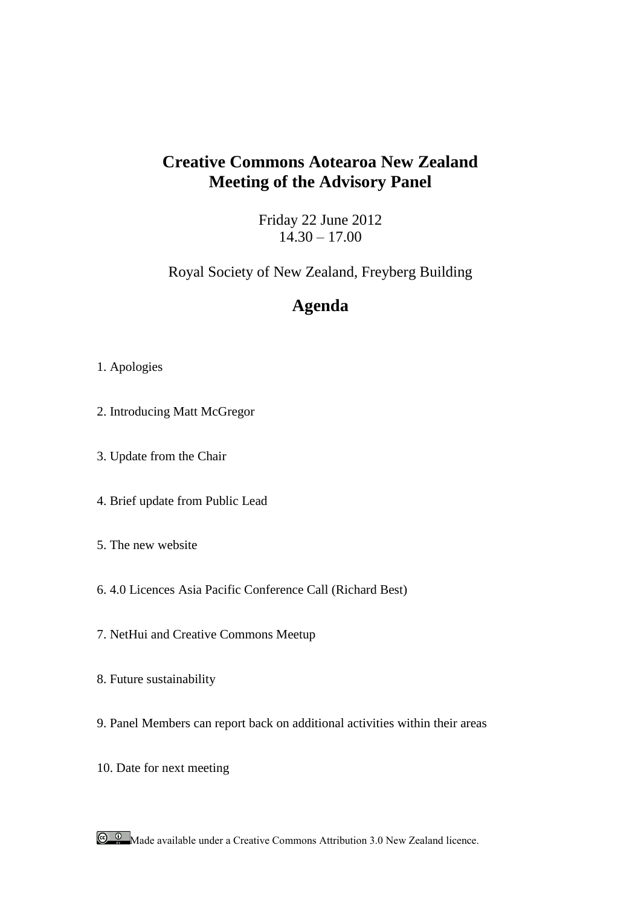# **Creative Commons Aotearoa New Zealand Meeting of the Advisory Panel**

Friday 22 June 2012  $14.30 - 17.00$ 

Royal Society of New Zealand, Freyberg Building

# **Agenda**

## 1. Apologies

- 2. Introducing Matt McGregor
- 3. Update from the Chair
- 4. Brief update from Public Lead
- 5. The new website
- 6. 4.0 Licences Asia Pacific Conference Call (Richard Best)
- 7. NetHui and Creative Commons Meetup
- 8. Future sustainability
- 9. Panel Members can report back on additional activities within their areas
- 10. Date for next meeting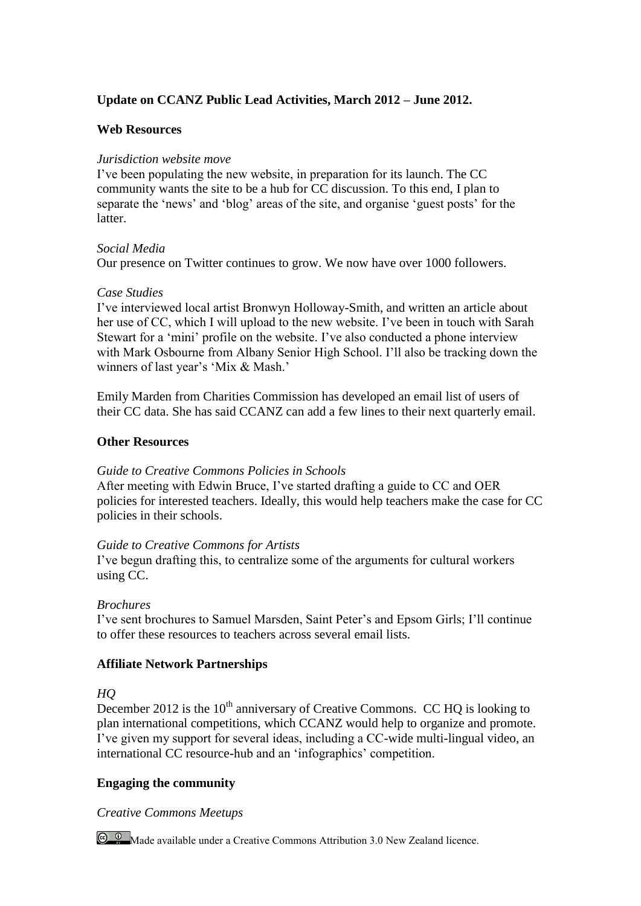# **Update on CCANZ Public Lead Activities, March 2012 – June 2012.**

## **Web Resources**

## *Jurisdiction website move*

I've been populating the new website, in preparation for its launch. The CC community wants the site to be a hub for CC discussion. To this end, I plan to separate the 'news' and 'blog' areas of the site, and organise 'guest posts' for the latter.

## *Social Media*

Our presence on Twitter continues to grow. We now have over 1000 followers.

## *Case Studies*

I've interviewed local artist Bronwyn Holloway-Smith, and written an article about her use of CC, which I will upload to the new website. I've been in touch with Sarah Stewart for a 'mini' profile on the website. I've also conducted a phone interview with Mark Osbourne from Albany Senior High School. I'll also be tracking down the winners of last year's 'Mix & Mash.'

Emily Marden from Charities Commission has developed an email list of users of their CC data. She has said CCANZ can add a few lines to their next quarterly email.

## **Other Resources**

# *Guide to Creative Commons Policies in Schools*

After meeting with Edwin Bruce, I've started drafting a guide to CC and OER policies for interested teachers. Ideally, this would help teachers make the case for CC policies in their schools.

# *Guide to Creative Commons for Artists*

I've begun drafting this, to centralize some of the arguments for cultural workers using CC.

# *Brochures*

I've sent brochures to Samuel Marsden, Saint Peter's and Epsom Girls; I'll continue to offer these resources to teachers across several email lists.

# **Affiliate Network Partnerships**

# *HQ*

December 2012 is the  $10<sup>th</sup>$  anniversary of Creative Commons. CC HQ is looking to plan international competitions, which CCANZ would help to organize and promote. I've given my support for several ideas, including a CC-wide multi-lingual video, an international CC resource-hub and an 'infographics' competition.

# **Engaging the community**

# *Creative Commons Meetups*

**C Q Made available under a Creative Commons Attribution 3.0 New Zealand licence.**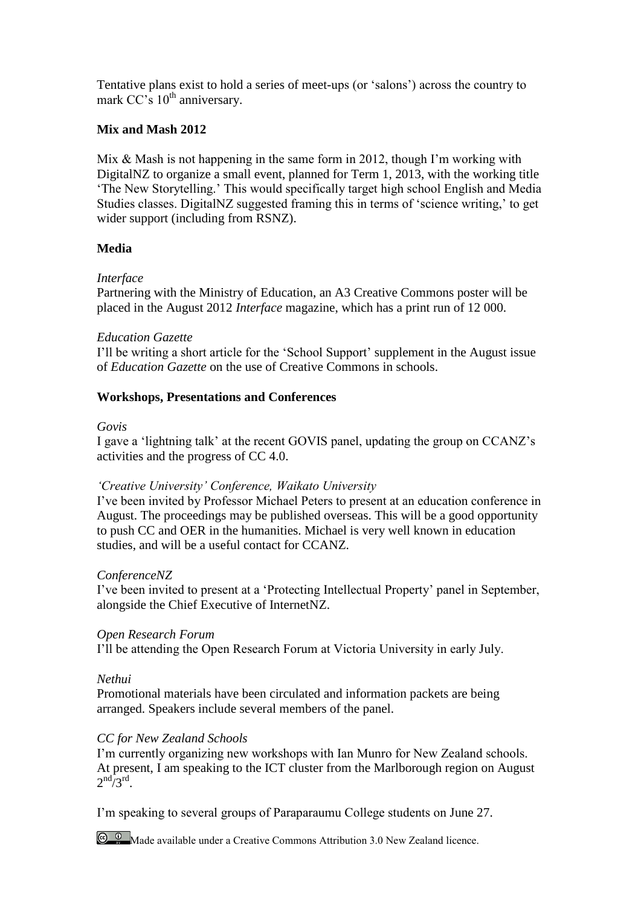Tentative plans exist to hold a series of meet-ups (or 'salons') across the country to mark CC's 10<sup>th</sup> anniversary.

## **Mix and Mash 2012**

Mix & Mash is not happening in the same form in 2012, though I'm working with DigitalNZ to organize a small event, planned for Term 1, 2013, with the working title 'The New Storytelling.' This would specifically target high school English and Media Studies classes. DigitalNZ suggested framing this in terms of 'science writing,' to get wider support (including from RSNZ).

## **Media**

## *Interface*

Partnering with the Ministry of Education, an A3 Creative Commons poster will be placed in the August 2012 *Interface* magazine, which has a print run of 12 000.

## *Education Gazette*

I'll be writing a short article for the 'School Support' supplement in the August issue of *Education Gazette* on the use of Creative Commons in schools.

# **Workshops, Presentations and Conferences**

## *Govis*

I gave a 'lightning talk' at the recent GOVIS panel, updating the group on CCANZ's activities and the progress of CC 4.0.

## *'Creative University' Conference, Waikato University*

I've been invited by Professor Michael Peters to present at an education conference in August. The proceedings may be published overseas. This will be a good opportunity to push CC and OER in the humanities. Michael is very well known in education studies, and will be a useful contact for CCANZ.

## *ConferenceNZ*

I've been invited to present at a 'Protecting Intellectual Property' panel in September, alongside the Chief Executive of InternetNZ.

## *Open Research Forum*

I'll be attending the Open Research Forum at Victoria University in early July.

# *Nethui*

Promotional materials have been circulated and information packets are being arranged. Speakers include several members of the panel.

# *CC for New Zealand Schools*

I'm currently organizing new workshops with Ian Munro for New Zealand schools. At present, I am speaking to the ICT cluster from the Marlborough region on August  $2<sup>nd</sup> / 3<sup>rd</sup>$ .

I'm speaking to several groups of Paraparaumu College students on June 27.

**C C Made available under a Creative Commons Attribution 3.0 New Zealand licence.**